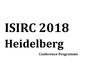# **ISIRC 2018Heidelberg**

**Conference Programme**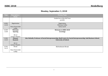# **Monday, September 3, 2018**

| <b>Time</b>        | Description /<br>Room            | Person/Topic                                                                                                                                        |
|--------------------|----------------------------------|-----------------------------------------------------------------------------------------------------------------------------------------------------|
|                    |                                  | Guided tour of the Old Town<br>possible                                                                                                             |
| $10.00 -$<br>12.30 | Registration<br>Neue Universität | Registration<br><b>Welcome Coffee</b><br>Early Lunch                                                                                                |
|                    | Lobby                            |                                                                                                                                                     |
| 12.30-<br>13.00    | Welcome<br><b>Opening</b>        | <b>Welcome to ISIRC 2018</b><br>Greetings                                                                                                           |
|                    | <b>HS13</b><br>Lecture Theatre   |                                                                                                                                                     |
| $13.00 -$<br>13.45 | <b>Plenary</b><br><b>Keynote</b> | Alex Nicholls, Professor of Social Entrepreneurship, Skoll Centre for Social Entrepreneurship, Saïd Business School,<br><b>University of Oxford</b> |
|                    | <b>HS 13</b><br>Lecture Theatre  |                                                                                                                                                     |
| 13.45-<br>14.15    | <b>Break</b>                     | <b>Refreshment Break</b>                                                                                                                            |
|                    | Neue Universität<br>Lobby        |                                                                                                                                                     |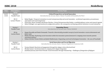| <b>Time</b>        | Description /               | Person/Topic                                                                                                                                                                                                                                                                                                                               |
|--------------------|-----------------------------|--------------------------------------------------------------------------------------------------------------------------------------------------------------------------------------------------------------------------------------------------------------------------------------------------------------------------------------------|
|                    | Room                        |                                                                                                                                                                                                                                                                                                                                            |
| $14.15 -$<br>15.45 | Session 1<br>Parallel Track | <b>Critical Perspectives on Social Innovation</b><br>Introduction by stream chairs: Simon Teasdale & Benedetta De Pieri                                                                                                                                                                                                                    |
|                    | <b>HS 13</b>                | Rafael Ziegler: Temporal orientation in social entrepreneurship and social innovation - on fictional expectation, precautionary<br>$\bullet$                                                                                                                                                                                               |
|                    | Lecture Theatre             | expectation and social imaginaries<br>Pascal Dey, Karen Verduijn and Denise Fletcher: Critical Entrepreneurship Studies: a multidisciplinary review and research agenda<br>$\bullet$<br>Helen Fitzhugh: Lost opportunities for prefigurative politics: the consequences of denying political intentions in social enterprises<br>$\bullet$ |
|                    | Session 1                   | <b>Expanding Theory</b>                                                                                                                                                                                                                                                                                                                    |
|                    | Parallel Track              | <b>Introduction by stream chair: Dieter Rehfeld</b>                                                                                                                                                                                                                                                                                        |
|                    | HS 4a<br>Lecture Room       | Jürgen Howaldt and Dmitri Domanski: Towards a theoretically grounded concept of social innovation: recent achievements and<br>future tasks                                                                                                                                                                                                 |
|                    |                             | Philine Warnke: Positioning social innovation within the innovation system framework. A stepping-stone towards systemic<br>$\bullet$<br><i>innovation policies?</i>                                                                                                                                                                        |
|                    |                             | Fabian Schroth, Florian Schütz and Jakob Häußermann: Integrating social and technological innovation – the case of Fraunhofer<br>$\bullet$                                                                                                                                                                                                 |
|                    | Session 1                   | <b>Social Innovation and Forced Migration</b>                                                                                                                                                                                                                                                                                              |
|                    | Parallel Track              | Introduction by stream chairs: Simone Baglioni & Francesca Calò                                                                                                                                                                                                                                                                            |
|                    | <b>HS12</b>                 | Verena Schmid: New forms of engagement through the refugee crisis at the local level<br>$\bullet$                                                                                                                                                                                                                                          |
|                    | Lecture Room                | Monika Gonser: Social Innovation in company level refugee integration<br>$\bullet$<br>Jonathan Jancsary and Vivien Fritsche: Social Innovation through Volunteering - Challenges of Integration of Refugees<br>$\bullet$                                                                                                                   |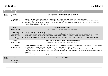| <b>Time</b> | Description /    |                                                                                                                                        |
|-------------|------------------|----------------------------------------------------------------------------------------------------------------------------------------|
|             | Room             | Person/Topic                                                                                                                           |
| $14.15 -$   | Session 1        | <b>Financing Social Innovation &amp; Social Investment</b>                                                                             |
|             |                  |                                                                                                                                        |
| 15.45       | Parallel Track   | <b>Introduction by stream chair: Alex Nicholls</b>                                                                                     |
|             | <b>HS</b> 12a    | Reinhard Millner: The process and mechanisms of aligning and governing interests in Social Impact Bonds                                |
|             | Lecture Room     | Sara Stühlinger: In Need of Clarification: Current Perception of Impact Investing in the German and Swiss Foundation Sector            |
|             |                  | Seza Danışoğlu, Z. Nuray Güner and Hande Ayaydın Hacıömeroğlu: The Grass is greener on the Other Side: Comparison of For-<br>$\bullet$ |
|             |                  | Profit and Blended-Value Debt Securities                                                                                               |
|             |                  |                                                                                                                                        |
|             | Session 1        | <b>Social innovation &amp; Food</b>                                                                                                    |
|             | Parallel Track   | <b>Introduction by stream chair: Alex Murdock</b>                                                                                      |
|             |                  |                                                                                                                                        |
|             | Ehemaliger       | Alex Murdock: How food got its bank                                                                                                    |
|             | Senatssaal       | Wim Vanobberghen, Carina Veeckman, Balasz Ceh, Katalin Ujhelyi, Apostolos Vontas and Vasiliki Madesi: Moving beyond the                |
|             | (Former Senate   | traditional food bank model: a testimony from the Hungarian Food Bank Association within the SavingFood project                        |
|             | Hall)            | Dirisa Mulindwa and Thorben Haenel: Analysing Street food in Uganda from a Transformative Social Innovation Perspective.               |
|             | Lecture Hall     |                                                                                                                                        |
|             | Session 1        | Design for Social Innovation for Place and Community                                                                                   |
|             | Parallel Track   | Introduction by stream chair: Arianna Mazzeo                                                                                           |
|             |                  |                                                                                                                                        |
|             | HS UGX60         | Patricia Derbyshire, Jordan Piraux, Taryn Hamilton, Spirit River Striped Wolf and Braden Etzerza: Otahpiaaki: Seven Generations        |
|             | Lecture Room     | of Survivance, Creative & Economic Development - A Seed to Runway Economic Model                                                       |
|             |                  | Santiago De Francisco, Miguel Navarro-Sanint, Leidy Lorena Rodríguez Pinto, María Belén Castellanos Ramírez, María Camila<br>$\bullet$ |
|             |                  | Curiel Lozano and Catalina Ramírez Diaz: Social participatory innovation: building bridges between rural practices and community       |
|             |                  | reflections.                                                                                                                           |
|             |                  | Shaohua Pan: Aging as complexity, aging people as facilitator for promoting social innovation                                          |
|             |                  |                                                                                                                                        |
| $15:45-$    | <b>Break</b>     | <b>Refreshment Break</b>                                                                                                               |
| 16:15       |                  |                                                                                                                                        |
|             | Neue Universität |                                                                                                                                        |
|             | Lobby            |                                                                                                                                        |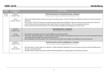| <b>Time</b> | Description /                   | Person/Topic                                                                                                                                                                                                                                                                                                                                                                                                                                                                                                                          |
|-------------|---------------------------------|---------------------------------------------------------------------------------------------------------------------------------------------------------------------------------------------------------------------------------------------------------------------------------------------------------------------------------------------------------------------------------------------------------------------------------------------------------------------------------------------------------------------------------------|
|             | <b>Room</b>                     |                                                                                                                                                                                                                                                                                                                                                                                                                                                                                                                                       |
| $16.15 -$   | Session 2                       | <b>Critical Perspectives on Social Innovation, continued</b>                                                                                                                                                                                                                                                                                                                                                                                                                                                                          |
|             |                                 |                                                                                                                                                                                                                                                                                                                                                                                                                                                                                                                                       |
| 17.45       | Parallel Track                  | Stream chairs: Simon Teasdale & Benedetta De Pieri                                                                                                                                                                                                                                                                                                                                                                                                                                                                                    |
|             | <b>HS 13</b><br>Lecture Theatre | Bonno Pel and René Kemp: Between Innovation and Restoration; a Critical Comparison of Relative Novelty in 20 Social Innovation<br>initiatives<br>Flor Avelino: Theories of Power for Social Innovation: Implications of Different Theories of Power for Social Innovation Research<br>$\bullet$<br>Zuhal Yesilyurt Gündüz and Kezban Celik: Gender Matters in Social Innovation: Poverty, Inequality, Exclusion<br>$\bullet$<br>Javier Ramos Diaz: Social Innovation or Social Innovations? Redefining and typifying a catchy concept |
|             | Session 2                       | <b>Expanding Theory, continued</b>                                                                                                                                                                                                                                                                                                                                                                                                                                                                                                    |
|             | Parallel Track                  | <b>Stream chair: Dieter Rehfeld</b>                                                                                                                                                                                                                                                                                                                                                                                                                                                                                                   |
|             |                                 |                                                                                                                                                                                                                                                                                                                                                                                                                                                                                                                                       |
|             | HS 4a                           |                                                                                                                                                                                                                                                                                                                                                                                                                                                                                                                                       |
|             |                                 | Anna Butzin and Hugues Jeannerat: Spatial diffusion of social innovation                                                                                                                                                                                                                                                                                                                                                                                                                                                              |
|             | Lecture Room                    | Pascal Dey, Thibault Daudigeos, Caroline Gauthier, Ranville Adelie and Shanahan Genevieve: How to reconcile sustainable solution<br>and sustainable advantage? A business model perspective                                                                                                                                                                                                                                                                                                                                           |
|             |                                 | Maria Rabadjieva and Anna Butzin: The concept of practice fields and its effects on the diffusion of social innovation                                                                                                                                                                                                                                                                                                                                                                                                                |
|             |                                 |                                                                                                                                                                                                                                                                                                                                                                                                                                                                                                                                       |
|             | Session 2                       | Social Innovation and Forced Migration, continued                                                                                                                                                                                                                                                                                                                                                                                                                                                                                     |
|             | Parallel Track                  | Stream chairs: Simone Baglioni & Francesca Calò                                                                                                                                                                                                                                                                                                                                                                                                                                                                                       |
|             |                                 |                                                                                                                                                                                                                                                                                                                                                                                                                                                                                                                                       |
|             | <b>HS 12</b>                    | Elisa Ravazzoli, Cristina Dalla Torre, Miriam L. Weiß and Andrea Membretti: Social Innovation Practices and Forced Migration in                                                                                                                                                                                                                                                                                                                                                                                                       |
|             | Lecture Room                    | the Alps: a pluralistic factor                                                                                                                                                                                                                                                                                                                                                                                                                                                                                                        |
|             |                                 |                                                                                                                                                                                                                                                                                                                                                                                                                                                                                                                                       |
|             |                                 | Alexandra David, Judith Terstriep and Silke Steinberg: Migrants as Change Agents of Institutional Cultures<br>$\bullet$                                                                                                                                                                                                                                                                                                                                                                                                               |
|             |                                 |                                                                                                                                                                                                                                                                                                                                                                                                                                                                                                                                       |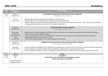| <b>Time</b> | Description /         | Person/Topic                                                                                                                               |
|-------------|-----------------------|--------------------------------------------------------------------------------------------------------------------------------------------|
|             | Room                  |                                                                                                                                            |
| $16.15 -$   | Session 2             | Financing Social Innovation & Social Investment, continued                                                                                 |
| 17.45       | Parallel Track        | <b>Stream chair: Alex Nicholls</b>                                                                                                         |
|             |                       |                                                                                                                                            |
|             | <b>HS</b> 12a         | Shruti Iyengar: Hybrid-social financing models for social enterprises                                                                      |
|             | Lecture Room          | Wendy Chen: Does Crowdfunding Lend a Hand to Social Entrepreneurship?                                                                      |
|             |                       | Rolf F.H. Schroeder: Business-oriented complementary currencies and time-exchange currencies - About the chances and problems<br>$\bullet$ |
|             |                       | of bridging the gap between commercial and social sector applications                                                                      |
|             |                       |                                                                                                                                            |
|             | Session 2             | Social innovation & Food, continued                                                                                                        |
|             | <b>Parallel Track</b> | <b>Stream chair: Alex Murdock</b>                                                                                                          |
|             |                       |                                                                                                                                            |
|             | Ehemaliger            | Braden Etzerza, Patricia Derbyshire and Jordan Piraux: The Wa'naa Crops Projects: Sewing the Seeds of Prosperity, Food, and                |
|             | Senatssaal            | Water Security on 760+ Neighbour Nations                                                                                                   |
|             | (Former Senate        | Chiara Civera, Damiano Cortese and Alex Murdock: 'Brewing' Social Innovation: The Case of New Enterprises Creation in                      |
|             | Hall)                 | Developing Countries by a Large Beer Producer                                                                                              |
|             | Lecture Hall          | Carmen Parra: Digital platforms: New tool to fight against food waste                                                                      |
|             |                       |                                                                                                                                            |
|             | Session 2             | Design for Social Innovation for Place and Community, continued                                                                            |
|             | Parallel Track        | Stream chair: Arianna Mazzeo                                                                                                               |
|             |                       |                                                                                                                                            |
|             | HS UGX60              | Vincent Carragher and Hugh O'Reilly: Modelling sustainability and community action and driving social and sustainable innovation           |
|             | Lecture Room          | Xue Pei and Francesco Zurlo: Building Design Capabilities in Organisations towards Social Innovation                                       |
|             |                       | Vincent Carragher and Michael Peters: Co-designing sustainable solutions for living with communities and other stakeholders<br>$\bullet$   |
| 17.45       | <b>Close</b>          | <b>Close</b>                                                                                                                               |
| 19.00-      | Reception             | Reception                                                                                                                                  |
| 21.00       | Fair                  | Presentation of social initiatives and regional projects                                                                                   |
|             |                       | <b>Drinks and Finger Food offered</b>                                                                                                      |
|             | Neue Universität      |                                                                                                                                            |
|             | Lobby and Patio       |                                                                                                                                            |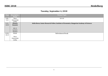## **Tuesday, September 4, 2018**

| <b>Time</b> | Description /  | Person/Topic                                                                                |
|-------------|----------------|---------------------------------------------------------------------------------------------|
|             | <b>Room</b>    |                                                                                             |
| $9.00 -$    | Neue           | Arrival                                                                                     |
| 9.15        | Universität    |                                                                                             |
|             | Lobby          |                                                                                             |
| $9.15 -$    | <b>Plenary</b> | Attila Havas, Senior Research Fellow, Institute of Economics, Hungarian Academy of Sciences |
| 10.00       | <b>Keynote</b> |                                                                                             |
|             |                |                                                                                             |
|             | <b>HS13</b>    |                                                                                             |
|             | Lecture        |                                                                                             |
|             | Theatre        |                                                                                             |
| $10.00 -$   | <b>Break</b>   | Refreshment Break                                                                           |
| 10.15       |                |                                                                                             |
|             | Neue           |                                                                                             |
|             | Universität    |                                                                                             |
|             | Lobby          |                                                                                             |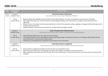| <b>Time</b>        | Description<br>Room          | Person/Topic                                                                                                                                                                                                                                                                                                                                                                                                                                                                                                                                                                    |
|--------------------|------------------------------|---------------------------------------------------------------------------------------------------------------------------------------------------------------------------------------------------------------------------------------------------------------------------------------------------------------------------------------------------------------------------------------------------------------------------------------------------------------------------------------------------------------------------------------------------------------------------------|
| $10.15 -$<br>11.45 | Session 3<br>Parallel Track  | <b>Social Innovation in Education</b><br>Introduction by stream chair: Ekkehard Thümler                                                                                                                                                                                                                                                                                                                                                                                                                                                                                         |
|                    | HS 4a<br>Lecture Room        | Malin Lindberg, Mia Heikkilä, Jennie Schaeffer and Cecilia Nordquist: Preschool remodeling through systemic (ex)change<br>$\bullet$<br>Mark Majewsky Anderson: Social Innovation and Knowledge Exchange: How Universities can support Social Innovation more<br>$\bullet$<br>effectively<br>Denise Crossan: Teaching Social Innovation effectively in Liberal Arts education setting: applying an Engaged Scholarship approach to<br>$\bullet$<br>bridge theory and practice<br>Rajendra Thakur: Social Innovation Initiative in the Most Backward Region of India<br>$\bullet$ |
|                    | Session 3<br>Parallel Track  | <b>Future Prospects for SI Measurement</b><br><b>Introduction by stream chairs: Judith Terstriep &amp; Georg Mildenberger</b>                                                                                                                                                                                                                                                                                                                                                                                                                                                   |
|                    | <b>HS</b> 12<br>Lecture Room | Hugo Fridolino Müller Neto: The value of social innovation<br>$\bullet$<br>Ana Camões, Marta Ferreira Dias, Marlene Amorim and Diego Galego: Social Action Projects in a Portuguese Municipality Driving<br>$\bullet$<br>Social Innovation: A Socioeconomic Measurement<br>Wilfried Lux and Regula Flisch: Integrated measurement of social innovation<br>$\bullet$                                                                                                                                                                                                             |
|                    | Session 3<br>Parallel Track  | <b>Social Innovation &amp; Complexity</b><br><b>Introduction by stream chairs: Sharon Zivkovic &amp; Christine Woods</b>                                                                                                                                                                                                                                                                                                                                                                                                                                                        |
|                    | $HS$ 12a<br>Lecture Room     | Sharon Zivkovic: Mapping the field of social innovation and complexity science<br>$\bullet$<br>Max French and Toby Lowe: Innovating for outcomes: the need for a complexity-consistent approach<br>$\bullet$<br>Billie Lythberg, Jamie Newth and Chris Woods: The Treaty of Waitangi: a structural attractor for social innovation in Aotearoa-New<br>$\bullet$<br>Zealand?                                                                                                                                                                                                     |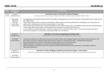| <b>Time</b> | Description /<br>Room                                               | Person/Topic                                                                                                                                                                                                                                                                                                                                                                                                                                                                                                                                                                                                                                                                                                                                                                                                                      |
|-------------|---------------------------------------------------------------------|-----------------------------------------------------------------------------------------------------------------------------------------------------------------------------------------------------------------------------------------------------------------------------------------------------------------------------------------------------------------------------------------------------------------------------------------------------------------------------------------------------------------------------------------------------------------------------------------------------------------------------------------------------------------------------------------------------------------------------------------------------------------------------------------------------------------------------------|
| $10.15 -$   | Session 3                                                           | Social Innovation in rural and/or deprived Regions                                                                                                                                                                                                                                                                                                                                                                                                                                                                                                                                                                                                                                                                                                                                                                                |
| 11.45       | Parallel Track                                                      | Introduction by stream chairs: Manfred Perlik, Carla Barlagne & Gillian Sullivan Mort                                                                                                                                                                                                                                                                                                                                                                                                                                                                                                                                                                                                                                                                                                                                             |
|             | Ehemaliger<br>Senatssaal<br>(Former<br>Senate Hall)<br>Lecture Hall | Carla Barlagne, Maria Nijnik, Richard Hewitt, David Miller: Moving forward on Social Innovation in Marginalised Areas: updates from<br>the SIMRA project<br>Diana Valero, Rosalind Bryce, Stanislava Brnkalakova, Martin Spacek and Tatiana Kluvankova: Identifying social innovations: an<br>approach for cataloguing and characterising examples in rural areas<br>Tatiana Kluvankova, Martin Spacek, Stanka Brnkalakova, Maria Nijnik, Diana Valero, David Miller, Patricia R. Sfeir, Rosalinde Bryce,<br>$\bullet$<br>Tomas Szabo and Veronika Gezik: Understanding social innovation in marginalised rural areas<br>Yen Le and Marie-Christine Monnoyer: Towards an approach by "socially innovative milieu": role of social entrepreneurship in<br>territorial development. A comparative study between Morocco and Vietnam |
|             | Session 3                                                           | <b>Hybridity, Governance &amp; Organising Social Innovation</b>                                                                                                                                                                                                                                                                                                                                                                                                                                                                                                                                                                                                                                                                                                                                                                   |
|             | Parallel Track                                                      | <b>Introduction by stream chairs: Bob Doherty &amp; Roger Spear</b>                                                                                                                                                                                                                                                                                                                                                                                                                                                                                                                                                                                                                                                                                                                                                               |
|             | HS UGX60<br>Lecture Room                                            | Diego Antonio Bittencourt Marconatto, Marcelo Fernandes Pacheco Dias, Douglas Wegner and Claudia Cristina Bitencourt: The<br>governance of Economy Solidarity Organizations and its impact for community outcomes: A configurational approach<br>James M. Mandiberg: An Identity Community Development Approach to Social Innovation<br>$\bullet$<br>Steffen Bethmann: Foundations as social innovators? Building organizational theory<br>Xabier Barandiaran and Alvaro Luna: The connection between Social and Public Sector Innovation in the Basque Country: A<br><b>Theoretical Framework</b>                                                                                                                                                                                                                                |
|             | Session 3                                                           | Interactive Session: Bridging academia and social innovation: a conversation                                                                                                                                                                                                                                                                                                                                                                                                                                                                                                                                                                                                                                                                                                                                                      |
|             | Parallel Track                                                      | SIC (Social Innovation Community) project partners Julia Wittmayer, DRIFT (NL) and Julie Munk, SIX (UK)                                                                                                                                                                                                                                                                                                                                                                                                                                                                                                                                                                                                                                                                                                                           |
|             | HS UGX61                                                            |                                                                                                                                                                                                                                                                                                                                                                                                                                                                                                                                                                                                                                                                                                                                                                                                                                   |
|             | Lecture Room                                                        |                                                                                                                                                                                                                                                                                                                                                                                                                                                                                                                                                                                                                                                                                                                                                                                                                                   |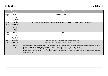| <b>Time</b> | Description /      | Person/Topic                                                                                                                                                                                                                                                                                                                                                                                               |
|-------------|--------------------|------------------------------------------------------------------------------------------------------------------------------------------------------------------------------------------------------------------------------------------------------------------------------------------------------------------------------------------------------------------------------------------------------------|
|             | Room               |                                                                                                                                                                                                                                                                                                                                                                                                            |
| $11.45 -$   | <b>Break</b>       | Refreshment Break                                                                                                                                                                                                                                                                                                                                                                                          |
| 12.00       |                    |                                                                                                                                                                                                                                                                                                                                                                                                            |
|             | Neue               |                                                                                                                                                                                                                                                                                                                                                                                                            |
|             | Universität        |                                                                                                                                                                                                                                                                                                                                                                                                            |
|             | Lobby              |                                                                                                                                                                                                                                                                                                                                                                                                            |
| $12.00 -$   | <b>Plenary</b>     | <b>Christiana Weber, Professor of Management and Organisation, Leibniz University Hannover</b>                                                                                                                                                                                                                                                                                                             |
| 12.45       | <b>Keynote</b>     |                                                                                                                                                                                                                                                                                                                                                                                                            |
|             |                    |                                                                                                                                                                                                                                                                                                                                                                                                            |
|             | <b>HS13</b>        |                                                                                                                                                                                                                                                                                                                                                                                                            |
|             | Lecture            |                                                                                                                                                                                                                                                                                                                                                                                                            |
|             | Theatre            |                                                                                                                                                                                                                                                                                                                                                                                                            |
| $12.45 -$   | Lunch              | Lunch                                                                                                                                                                                                                                                                                                                                                                                                      |
| 14.15       |                    |                                                                                                                                                                                                                                                                                                                                                                                                            |
|             | Neue               |                                                                                                                                                                                                                                                                                                                                                                                                            |
|             | Universität        |                                                                                                                                                                                                                                                                                                                                                                                                            |
|             | Lobby              |                                                                                                                                                                                                                                                                                                                                                                                                            |
| $14.15 -$   | Session 4          | <b>Critical Perspectives on Social Innovation, continued</b>                                                                                                                                                                                                                                                                                                                                               |
| 15.45       | Parallel Track     | Stream chairs: Simon Teasdale & Benedetta De Pieri                                                                                                                                                                                                                                                                                                                                                         |
|             |                    |                                                                                                                                                                                                                                                                                                                                                                                                            |
|             | <b>HS13</b>        | Micaela Mazzei, Francesca Calò, Simon Teasdale and Michael Roy: Third sector organisations in co-production processes: are they<br>$\bullet$                                                                                                                                                                                                                                                               |
|             |                    |                                                                                                                                                                                                                                                                                                                                                                                                            |
|             |                    |                                                                                                                                                                                                                                                                                                                                                                                                            |
|             |                    |                                                                                                                                                                                                                                                                                                                                                                                                            |
|             |                    |                                                                                                                                                                                                                                                                                                                                                                                                            |
|             | Lecture<br>Theatre | really representing the needs of service users? Towards a typology of Third Sector/users relations<br>Benedetta De Pieri: A critical reading of the public discourse on Social Innovation in the UK and Italy<br>$\bullet$<br>Diego Galego, Gonçalo Santinha, Frank Moulaert and Marlene Amorim: Social Innovation: a critical reflection on political discourse<br>$\bullet$<br>over the past two decades |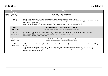| <b>Time</b> | Description /    | Person/Topic                                                                                                                                     |
|-------------|------------------|--------------------------------------------------------------------------------------------------------------------------------------------------|
|             | Room             |                                                                                                                                                  |
| $14.15 -$   | Session 4        | <b>Expanding Theory, continued</b>                                                                                                               |
| 15.45       | Parallel Track   | <b>Stream chair: Dieter Rehfeld</b>                                                                                                              |
|             |                  |                                                                                                                                                  |
|             | HS <sub>4a</sub> | Mandy Bratton, Brandon Reynante and Lin Hein: Paradigm Shifts: Orders of Social Change<br>$\bullet$                                              |
|             | Lecture Room     | Stijn Oosterlynck and Pieter Cools: Urban social innovation and the European city: assessing the role of public institutions in the<br>$\bullet$ |
|             |                  |                                                                                                                                                  |
|             |                  | changing local welfare mix                                                                                                                       |
|             |                  | Anne Parpan-Blaser: Social innovation at the interface of welfare state, civil society and social work<br>$\bullet$                              |
|             |                  |                                                                                                                                                  |
|             | Session 4        | <b>Future Prospects for SI Measurement, continued</b>                                                                                            |
|             | Parallel Track   | <b>Stream chairs: Judith Terstriep &amp; Georg Mildenberger</b>                                                                                  |
|             |                  |                                                                                                                                                  |
|             | <b>HS</b> 12     | Maria Kleverbeck, Judith Terstriep and Anna Butzin: Social innovation indicators and organisational innovativeness<br>$\bullet$                  |
|             | Lecture Room     | Irina Krasnopolskaya: Innovativeness of non-profits: a case of quantitative measurement<br>$\bullet$                                             |
|             |                  | Gorgi Krlev: Measuring social innovation<br>$\bullet$                                                                                            |
|             |                  |                                                                                                                                                  |
|             | Session 4        |                                                                                                                                                  |
|             |                  | Social Innovation & Complexity, continued                                                                                                        |
|             | Parallel Track   | Stream chairs: Sharon Zivkovic & Christine Woods                                                                                                 |
|             |                  |                                                                                                                                                  |
|             | <b>HS</b> 12a    | Ali Mollinger-Sahba, Paul Flatau, Daniel Schepis and Sharon Purchase: Go big or go home: pure social innovations in social impact<br>$\bullet$   |
|             | Lecture Room     | bonds                                                                                                                                            |
|             |                  | Sean Geobey and Katharine McGowan: Perceiving a Plague: Understanding Systems from Within During Times of Crisis<br>$\bullet$                    |
|             |                  | Ali Mollinger-Sahba, Paul Flatau, Daniel Schepis and Sharon Purchase: Contending with complexity in cross sector collaborations for              |
|             |                  | social impact: the role of rhetoric                                                                                                              |
|             |                  |                                                                                                                                                  |
|             |                  |                                                                                                                                                  |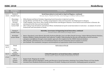| <b>Time</b>           | Description<br>Room                                                                                | <b>Person/Topic</b>                                                                                                                                                                                                                                                                                                                                                                                                                                                                                                                                                                                                                                                                                                                                     |
|-----------------------|----------------------------------------------------------------------------------------------------|---------------------------------------------------------------------------------------------------------------------------------------------------------------------------------------------------------------------------------------------------------------------------------------------------------------------------------------------------------------------------------------------------------------------------------------------------------------------------------------------------------------------------------------------------------------------------------------------------------------------------------------------------------------------------------------------------------------------------------------------------------|
| $14.15 -$<br>15.45    | Session 4<br>Parallel Track<br>Ehemaliger<br>Senatssaal<br>(Former<br>Senate Hall)<br>Lecture Hall | Social Innovation in rural and/or deprived Regions, continued<br>Stream chairs: Manfred Perlik, Carla Barlagne & Gillian Sullivan Mort<br>Dillon Berjani and Karen Verduijn: Organizing Social Innovation in deprived countries<br>$\bullet$<br>György Molnár and Attila Havas: Tackling marginalisation with social innovation: the Kiútprogram in Hungary<br>$\bullet$<br>Todora Rogelja, Laura Secco, Alice Ludvig, Gerhard Weiss and Margaret Shannon: Forest-based social innovation in Slovenia: the<br>$\bullet$<br>development of the Charcoal Land initiative<br>Alice Ludvig, Ivana Zivojinovic and Gerhard Weiss: Institutional set-up for social innovation in rural areas - an analysis of current<br>frameworks and instruments in Serbia |
|                       | Session 4<br>Parallel Track<br>HS UGX60<br>Lecture Room                                            | Hybridity, Governance & Organising Social Innovation, continued<br><b>Stream chairs: Bob Doherty &amp; Roger Spear</b><br>Marie J. Bouchard, Louise Briand, Alexandre Duchesne Blondin, Juan-Luis Klein, Benoît Lévesque, Valérie Michaud, Martin Petitclerc,<br>Mathieu Philibert, Damien Rousselière and Catherine Trudelle: Understanding the diversity and hybridity of social innovation<br>emergence and diffusion through a meta-analytic approach: first insights from the CRISES relational database<br>Ellen Stenslie: Chameleons by Law: An Institutional Inquiry into the Community Interest Company in practice<br>Jens Dorland: The constitution, emergence and development of organizations within Social Innovation<br>$\bullet$        |
| 15.45-<br>16.15       | <b>Break</b><br>Neue<br>Universität<br>Lobby                                                       | <b>Refreshment Break</b>                                                                                                                                                                                                                                                                                                                                                                                                                                                                                                                                                                                                                                                                                                                                |
| 16.15<br>$-$<br>17.45 | Session 5<br>Parallel Track<br><b>HS13</b><br>Lecture<br>Theatre                                   | <b>Critical Perspectives on Social Innovation, continued</b><br>Stream chairs: Simon Teasdale & Benedetta De Pieri<br>Regina Frank: Mapping the invisible<br>$\bullet$<br>Wendy Cukier and Sara Rodrigues: Gender and Diversity in Social Innovation: Analyzing Cross-Cutting Themes in SI Case Studies<br>$\bullet$<br>Giovanni Fosti, Elisabetta Notarnicola and Eleonora Perobelli: Funding social innovation: challenging popular perspective                                                                                                                                                                                                                                                                                                       |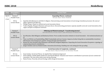| <b>Time</b>    | Description<br>Room                                          | Person/Topic                                                                                                                                                                                                                                                                                                                                                                                                                                                                                                                                                                                                                                            |
|----------------|--------------------------------------------------------------|---------------------------------------------------------------------------------------------------------------------------------------------------------------------------------------------------------------------------------------------------------------------------------------------------------------------------------------------------------------------------------------------------------------------------------------------------------------------------------------------------------------------------------------------------------------------------------------------------------------------------------------------------------|
| 16.15<br>17.45 | Session 5<br>Parallel Track                                  | <b>Expanding Theory, continued</b><br><b>Stream chair: Dieter Rehfeld</b>                                                                                                                                                                                                                                                                                                                                                                                                                                                                                                                                                                               |
|                | HS 4a<br>Lecture Room                                        | Sujeetha Selvakkumaran and Erik O. Ahlgren: Characterizing social innovations in local energy transitions processes: the cases of<br>Skåne, Dalsland and Hjørring<br>Philipp Thapa: Utopia-as-method and social innovation theory<br>$\bullet$<br>Todora Rogelja, Margaret Shannon and Laura Secco: Deconstructing governance capacity of public actors for social innovation: from<br>$\bullet$<br>vague concepts to analytical constructs                                                                                                                                                                                                             |
|                | Session 5<br>Parallel Track                                  | Diffusing and Mainstreaming SI - Transforming Society?<br><b>Introduction by stream chairs: Julia Wittmayer &amp; Bonno Pel</b>                                                                                                                                                                                                                                                                                                                                                                                                                                                                                                                         |
|                | <b>HS 12</b><br>Lecture Room                                 | Eva Wascher, Rick Hölsgens and Katharina Schrot: From socially innovative initiative to Social Innovation - the institutionalisation of<br>SI<br>Timo von Wirth, Lea Fuenfschilling, Nikki Frantzeskaki and Lars Coenen: Impacts of urban living labs on sustainability transitions:<br>Mechanisms and strategies for systemic change through experimentation<br>Bonno Pel, Jens Dorland, Julia Wittmayer and Michael Soegaard Jørgensen: Unpacking the Social Innovation Ecosystem: a typology of<br>empowering network constellations<br>Jürgen Schultze and Lisa Beiderwieden: Innovation franchising: Enabling new role settings for the up scaling |
|                | Session 5<br>Parallel Track<br><b>HS 12a</b><br>Lecture Room | Social Innovation & Complexity, continued<br>Stream chairs: Sharon Zivkovic & Christine Woods<br>Sean Geobey: Social Lab Theory: An Applied New Institutional Approach<br>Erik Lindhult, Camilla Dahlin Andersson and Henrik Eklund: Valuation and resource contribution in processes of socio-commercial<br>$\overline{\phantom{a}}$<br>innovation. The case of the online news startup Newstag<br>Neeta Verma: Precarity of Social Ecology within Design & Innovation                                                                                                                                                                                 |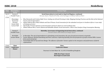| <b>Time</b>    | Description /<br>Room                                               | Person/Topic                                                                                                                                                                                                                                                                                                                                                                                                                                                                                                                                                                                                                 |
|----------------|---------------------------------------------------------------------|------------------------------------------------------------------------------------------------------------------------------------------------------------------------------------------------------------------------------------------------------------------------------------------------------------------------------------------------------------------------------------------------------------------------------------------------------------------------------------------------------------------------------------------------------------------------------------------------------------------------------|
| 16.15<br>17.45 | Session 5<br>Parallel Track                                         | Social Innovation in rural and/or deprived Regions, continued<br>Stream chairs: Manfred Perlik, Carla Barlagne & Gillian Sullivan Mort                                                                                                                                                                                                                                                                                                                                                                                                                                                                                       |
|                | Ehemaliger<br>Senatssaal<br>(Former<br>Senate Hall)<br>Lecture Hall | Elisa Ravazzoli and Cristina Dalla Torre: Scaling out of Social Farming in Italy: Mapping Existing Practices and the Role of the National<br>$\bullet$<br>Forum of Social Agriculture<br>Gillian Sullivan Mort, Nkosi Sithole and Clare D'Souza: Social innovation for the unbanked rural poor in Southern Africa: A case study<br>$\bullet$<br>of Limpopo province<br>Sali Sasaki: Frictions between social innovation and local cultures in rural southeast Asia<br>$\bullet$<br>Gillian Sullivan Mort, Tanvir Ahmed and Rafiuddin Ahmed: Social Innovation: A Micro-level Analysis Using Consumption Meaning<br>$\bullet$ |
|                | Session 5<br>Parallel Track                                         | Hybridity, Governance & Organising Social Innovation, continued<br><b>Stream chairs: Bob Doherty &amp; Roger Spear</b>                                                                                                                                                                                                                                                                                                                                                                                                                                                                                                       |
|                | HS UGX60<br>Lecture Room                                            | Jo Barraket: The role of intermediaries in stimulating social innovation: the case of social procurement in Australia<br>$\bullet$<br>Louise Atkinson, Richard Hazenberg and Peter Lawrence: Exploring hybridity from the perspective of profit oriented SMEs: Lessons<br>from social enterprises<br>Farah Nabil Adel Al Taji and Irene Bengo: The influence of founders' human capital on the emergence and performance of hybrid<br>organizations                                                                                                                                                                          |
| 17.45          | <b>Close</b>                                                        | <b>Close</b>                                                                                                                                                                                                                                                                                                                                                                                                                                                                                                                                                                                                                 |
| 19.00          | Conference<br><b>Dinner</b>                                         | <b>Conference Dinner</b><br>Dezernat 16, Emil-Maier-Str. 16, 69115 Heidelberg-Bergheim                                                                                                                                                                                                                                                                                                                                                                                                                                                                                                                                       |
|                |                                                                     | <b>ISIRC Best Paper Award</b><br><b>Best Paper in each track</b>                                                                                                                                                                                                                                                                                                                                                                                                                                                                                                                                                             |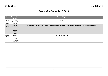# **Wednesday, September 5, 2018**

| <b>Time</b>              | Description /  | Person/Topic                                                                                            |
|--------------------------|----------------|---------------------------------------------------------------------------------------------------------|
|                          | <b>Room</b>    |                                                                                                         |
| 9.00                     | Neue           | Arrival                                                                                                 |
| $\overline{\phantom{a}}$ | Universität    |                                                                                                         |
| 9.15                     | Lobby          |                                                                                                         |
| $9:15-$                  | <b>Plenary</b> | Yvonne von Friedrichs, Professor of Business Administration and Entrepreneurship, Mid Sweden University |
| 10.00                    | <b>Keynote</b> |                                                                                                         |
|                          |                |                                                                                                         |
|                          | <b>HS13</b>    |                                                                                                         |
|                          | Lecture        |                                                                                                         |
|                          | Theatre        |                                                                                                         |
| $10.00 -$                | <b>Break</b>   | <b>Refreshment Break</b>                                                                                |
| 10.15                    |                |                                                                                                         |
|                          | Neue           |                                                                                                         |
|                          | Universität    |                                                                                                         |
|                          | Lobby          |                                                                                                         |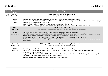**ISIRC 2018 Heidelberg <b>Heidelberg ISIRC 2018** 

| <b>Time</b> | Description /<br>Room | Person/Topic                                                                                                                                                                                                                              |
|-------------|-----------------------|-------------------------------------------------------------------------------------------------------------------------------------------------------------------------------------------------------------------------------------------|
| $10.15 -$   | Session 6             | <b>New Ways of Planning &amp; Policy Production</b>                                                                                                                                                                                       |
| 11.45       | Parallel Track        | <b>Introduction by stream chair: Marianne Paasi</b>                                                                                                                                                                                       |
|             | <b>HS13</b>           | Malin Lindberg, Anna Tengqvist and Daniel Hallencreutz: Modelling support to social innovators                                                                                                                                            |
|             | Lecture<br>Theatre    | Ivette Oomens, Chiel Scholten and Annemieke van Barneveld-Biesma: Networked governance for social innovation: technologies for<br>$\bullet$<br>inclusive labour markets in the Netherlands                                                |
|             |                       | Max French: Co-production as a source of learning and innovation in public services<br>$\bullet$                                                                                                                                          |
|             |                       | Danijel Baturina: Emerging spaces? Perspectives of social (impact) investment in context of Croatian social policy<br>$\bullet$                                                                                                           |
|             | Session 6             | <b>Digital Social Innovation</b>                                                                                                                                                                                                          |
|             | Parallel Track        | Introduction by stream chairs: Cédric Gossart, Müge Özman & Matt Stokes                                                                                                                                                                   |
|             | HS <sub>4a</sub>      | Müge Ozman and Cedric Gossart: Digital social innovation: Exploring an emerging ecosystem                                                                                                                                                 |
|             | Lecture Room          | Veronika Hornung-Prähauser, Sandra Schön and Eva-Maria Hollauf: Business model design for Open Educational Resources in the<br>$\bullet$<br>field of digital social innovation and entrepreneurship education: experiences and challenges |
|             |                       | Artemis Psaltoglou: The landscape of digital social innovation in Greece: citizen initiatives in times of crisis                                                                                                                          |
|             |                       | Lucia Corsini and James Moultrie: Using digital fabrication tools to provide humanitarian aid in low-resource settings: a systematic<br>literature review                                                                                 |
|             | Session 6             | Diffusing and Mainstreaming SI - Transforming Society?, continued                                                                                                                                                                         |
|             | Parallel Track        | Stream chairs: Julia Wittmayer & Bonno Pel                                                                                                                                                                                                |
|             | <b>HS 12</b>          | Rick Hölsgens and Aline Reichow: Effective social innovation for effective societal change<br>$\bullet$                                                                                                                                   |
|             | Lecture Room          | Janelle Kerlin, Saurabh Lall, Shuyang Peng and Tracy Cui: Intermediaries as Institutionalizing Agents for Social Enterprise<br>$\bullet$<br>Organizations in India and China                                                              |
|             |                       | Taryn Hamilton, Spirit River Striped Wolf and Patricia Derbyshire: Otahpiaaki Law Keepers: Attributional Justice, the Role of Elders,<br>$\bullet$<br>and Decolonizing the Intellectual Property of Indigenous Creatives                  |
|             |                       | Calvin Chu: Sustaining and Scaling Impact with Business System Innovation<br>$\bullet$                                                                                                                                                    |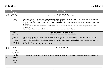| <b>Time</b>     | Description /                 | Person/Topic                                                                                                                                                                                                                                                                                                                                                                                                                                                                                                                                                                                                  |
|-----------------|-------------------------------|---------------------------------------------------------------------------------------------------------------------------------------------------------------------------------------------------------------------------------------------------------------------------------------------------------------------------------------------------------------------------------------------------------------------------------------------------------------------------------------------------------------------------------------------------------------------------------------------------------------|
|                 | <b>Room</b>                   |                                                                                                                                                                                                                                                                                                                                                                                                                                                                                                                                                                                                               |
| $10.15 -$       | Session 6                     | <b>Health &amp; Wellbeing</b>                                                                                                                                                                                                                                                                                                                                                                                                                                                                                                                                                                                 |
| 11.45           | Parallel Track                | <b>Introduction by stream chair: Michael Roy</b>                                                                                                                                                                                                                                                                                                                                                                                                                                                                                                                                                              |
|                 | <b>HS</b> 12a<br>Lecture Room | Maheswar Satpathy, Bharat Sadana and Biswa Ranjan Acharya: Health Informatics and Big Data Technologies for 'Sustainable<br>Healthcare Management' in Low and Middle-Income Countries (LMICs)<br>Francesca Calò, Artur Steiner, Stephen Millar and Simon Teasdale: Music community-based intervention for young people: a realist<br>$\bullet$<br>evaluation<br>Fiona Henderson, Audrey Mutongi and Geoff Whittam: The emergence of social innovation in social enterprise: An analytical<br>$\bullet$<br>framework<br>Heather Fulford and Melanie Liddell: Social impact resources: navigating the landscape |
|                 | Session 6                     | <b>Social Innovation and Sustainability</b>                                                                                                                                                                                                                                                                                                                                                                                                                                                                                                                                                                   |
|                 | Parallel Track                | <b>Introduction by stream chair: Rafael Ziegler</b>                                                                                                                                                                                                                                                                                                                                                                                                                                                                                                                                                           |
|                 |                               |                                                                                                                                                                                                                                                                                                                                                                                                                                                                                                                                                                                                               |
|                 | Ehemaliger                    | Flor Avelino and Julia Wittmayer: The Transformative Potential of Social Innovation Movements for Sustainability Transitions<br>$\bullet$                                                                                                                                                                                                                                                                                                                                                                                                                                                                     |
|                 | Senatssaal                    | Ellen Stenslie: Cleaning up the economy; the business models of environmental social enterprises<br>$\bullet$                                                                                                                                                                                                                                                                                                                                                                                                                                                                                                 |
|                 | (Former                       | Rafael Ziegler: Innovation towards a circular economy - an exploration of green and blue water options and obstacles from a civil<br>$\bullet$                                                                                                                                                                                                                                                                                                                                                                                                                                                                |
|                 | Senate Hall)                  | society perspective                                                                                                                                                                                                                                                                                                                                                                                                                                                                                                                                                                                           |
|                 | Lecture Hall                  | Monika Gonser: Sustainability, Transformative Research and Migration                                                                                                                                                                                                                                                                                                                                                                                                                                                                                                                                          |
|                 |                               |                                                                                                                                                                                                                                                                                                                                                                                                                                                                                                                                                                                                               |
| 11.45-<br>12.00 | <b>Break</b>                  | <b>Refreshment Break</b>                                                                                                                                                                                                                                                                                                                                                                                                                                                                                                                                                                                      |
|                 | Neue                          |                                                                                                                                                                                                                                                                                                                                                                                                                                                                                                                                                                                                               |
|                 | Universität                   |                                                                                                                                                                                                                                                                                                                                                                                                                                                                                                                                                                                                               |
|                 | Lobby                         |                                                                                                                                                                                                                                                                                                                                                                                                                                                                                                                                                                                                               |
| 12.00-          | <b>Plenary</b>                | René Kemp, Professor of Innovation and Sustainable Development, ICIS research institute, Maastricht University                                                                                                                                                                                                                                                                                                                                                                                                                                                                                                |
| 12.45           | <b>Keynote</b>                |                                                                                                                                                                                                                                                                                                                                                                                                                                                                                                                                                                                                               |
|                 |                               |                                                                                                                                                                                                                                                                                                                                                                                                                                                                                                                                                                                                               |
|                 | <b>HS13</b>                   |                                                                                                                                                                                                                                                                                                                                                                                                                                                                                                                                                                                                               |
|                 | Lecture                       |                                                                                                                                                                                                                                                                                                                                                                                                                                                                                                                                                                                                               |
|                 | Theatre                       |                                                                                                                                                                                                                                                                                                                                                                                                                                                                                                                                                                                                               |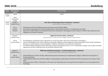| <b>Time</b>     | Description /<br><b>Room</b>                                     | Person/Topic                                                                                                                                                                                                                                                                                                                                                                                                                                                                                                                                                                                                                                                            |
|-----------------|------------------------------------------------------------------|-------------------------------------------------------------------------------------------------------------------------------------------------------------------------------------------------------------------------------------------------------------------------------------------------------------------------------------------------------------------------------------------------------------------------------------------------------------------------------------------------------------------------------------------------------------------------------------------------------------------------------------------------------------------------|
| 12.45-<br>14.00 | Lunch<br>Neue<br>Universität<br>Lobby                            | Lunch                                                                                                                                                                                                                                                                                                                                                                                                                                                                                                                                                                                                                                                                   |
| 14.00-<br>15.30 | Session 7<br>Parallel Track<br><b>HS13</b><br>Lecture<br>Theatre | New Ways of Planning & Policy Production, continued<br><b>Stream chair: Marianne Paasi</b><br>Mária Baracsi & Victoria Blessing: Interreg Europe Project SOCIAL SEEDS<br>Jarrod Choo: Exploring Carrot and Stick Approaches to Social Enterprise Policy: A Comparative Case Study<br>$\bullet$<br>Spirit River Striped Wolf, Taryn Hamilton and Patricia Derbyshire: Challenging Scarcity: Nations-to Nation Policy Imperatives for<br>$\bullet$<br><b>Indigenous Community Prosperity</b>                                                                                                                                                                              |
|                 | Session 7<br>Parallel Track<br>HS <sub>4a</sub><br>Lecture Room  | <b>Digital Social Innovation, continued</b><br>Stream chairs: Cédric Gossart, Müge Özman & Matt Stokes<br>Sara Rodrigues and Wendy Cukier: Blockchain as Social Innovation: Discourses of Disruptive Technologies<br>Lorenz Cuno Klopfenstein, Saverio Delpriori, Alessandro Bogliolo, Andrea Sergiacomi, Donna Boardman, Peter Parfitt and Marina<br>Marcozzi: Crowdsensing for road sustainability: validation of publicly sourced data for exploitation<br>Eva-Maria Hollauf and Sandra Schön: Educating young social innovators from 6 to 16 in makerspace settings: Case studies of existing<br>approaches and their implications for the European Initiative DOIT |
|                 | Session 7<br>Parallel Track<br><b>HS12</b><br>Lecture Room       | Diffusing and Mainstreaming SI - Transforming Society?, continued<br>Stream chairs: Julia Wittmayer & Bonno Pel<br>Julia M Wittmayer and Flor Avelino: Mainstreaming Social Innovation for Transformative Change: a Multi-Actor Perspective on<br><b>Community Energy</b><br>Camilla Dahlin Andersson and Erik Lindhult: Conceptualizing transformative innovation (TI) An innovation process study of "stem<br>$\bullet$<br>cells"<br>Martijn Gerritsen: Where is the politics in the smart city? Examining smart city experiments through the lens of social appraisal of<br>technology                                                                               |